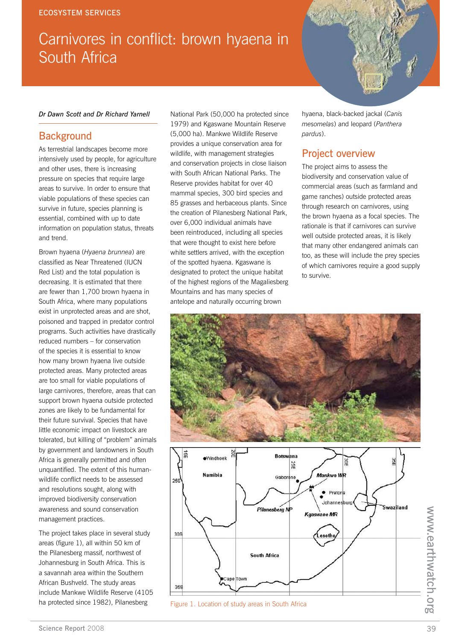# Carnivores in conflict: brown hyaena in South Africa

#### *Dr Dawn Scott and Dr Richard Yarnell*

## **Background**

As terrestrial landscapes become more intensively used by people, for agriculture and other uses, there is increasing pressure on species that require large areas to survive. In order to ensure that viable populations of these species can survive in future, species planning is essential, combined with up to date information on population status, threats and trend.

Brown hyaena (*Hyaena brunnea*) are classified as Near Threatened (IUCN Red List) and the total population is decreasing. It is estimated that there are fewer than 1,700 brown hyaena in South Africa, where many populations exist in unprotected areas and are shot, poisoned and trapped in predator control programs. Such activities have drastically reduced numbers – for conservation of the species it is essential to know how many brown hyaena live outside protected areas. Many protected areas are too small for viable populations of large carnivores, therefore, areas that can support brown hyaena outside protected zones are likely to be fundamental for their future survival. Species that have little economic impact on livestock are tolerated, but killing of "problem" animals by government and landowners in South Africa is generally permitted and often unquantified. The extent of this humanwildlife conflict needs to be assessed and resolutions sought, along with improved biodiversity conservation awareness and sound conservation management practices.

The project takes place in several study areas (figure 1), all within 50 km of the Pilanesberg massif, northwest of Johannesburg in South Africa. This is a savannah area within the Southern African Bushveld. The study areas include Mankwe Wildlife Reserve (4105 ha protected since 1982), Pilanesberg

National Park (50,000 ha protected since 1979) and Kgaswane Mountain Reserve (5,000 ha). Mankwe Wildlife Reserve provides a unique conservation area for wildlife, with management strategies and conservation projects in close liaison with South African National Parks. The Reserve provides habitat for over 40 mammal species, 300 bird species and 85 grasses and herbaceous plants. Since the creation of Pilanesberg National Park, over 6,000 individual animals have been reintroduced, including all species that were thought to exist here before white settlers arrived, with the exception of the spotted hyaena. Kgaswane is designated to protect the unique habitat of the highest regions of the Magaliesberg Mountains and has many species of antelope and naturally occurring brown

hyaena, black-backed jackal (*Canis mesomelas*) and leopard (*Panthera pardus*).

## Project overview

The project aims to assess the biodiversity and conservation value of commercial areas (such as farmland and game ranches) outside protected areas through research on carnivores, using the brown hyaena as a focal species. The rationale is that if carnivores can survive well outside protected areas, it is likely that many other endangered animals can too, as these will include the prey species of which carnivores require a good supply to survive.



Figure 1. Location of study areas in South Africa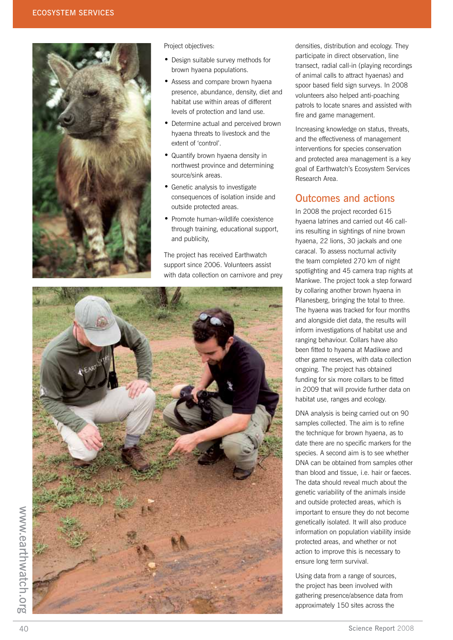

#### Project objectives:

- Design suitable survey methods for brown hyaena populations.
- Assess and compare brown hyaena presence, abundance, density, diet and habitat use within areas of different levels of protection and land use.
- Determine actual and perceived brown hyaena threats to livestock and the extent of 'control'.
- Quantify brown hyaena density in northwest province and determining source/sink areas.
- Genetic analysis to investigate consequences of isolation inside and outside protected areas.
- Promote human-wildlife coexistence through training, educational support, and publicity,

The project has received Earthwatch support since 2006. Volunteers assist with data collection on carnivore and prey



densities, distribution and ecology. They participate in direct observation, line transect, radial call-in (playing recordings of animal calls to attract hyaenas) and spoor based field sign surveys. In 2008 volunteers also helped anti-poaching patrols to locate snares and assisted with fire and game management.

Increasing knowledge on status, threats, and the effectiveness of management interventions for species conservation and protected area management is a key goal of Earthwatch's Ecosystem Services Research Area.

## Outcomes and actions

In 2008 the project recorded 615 hyaena latrines and carried out 46 callins resulting in sightings of nine brown hyaena, 22 lions, 30 jackals and one caracal. To assess nocturnal activity the team completed 270 km of night spotlighting and 45 camera trap nights at Mankwe. The project took a step forward by collaring another brown hyaena in Pilanesberg, bringing the total to three. The hyaena was tracked for four months and alongside diet data, the results will inform investigations of habitat use and ranging behaviour. Collars have also been fitted to hyaena at Madikwe and other game reserves, with data collection ongoing. The project has obtained funding for six more collars to be fitted in 2009 that will provide further data on habitat use, ranges and ecology.

DNA analysis is being carried out on 90 samples collected. The aim is to refine the technique for brown hyaena, as to date there are no specific markers for the species. A second aim is to see whether DNA can be obtained from samples other than blood and tissue, i.e. hair or faeces. The data should reveal much about the genetic variability of the animals inside and outside protected areas, which is important to ensure they do not become genetically isolated. It will also produce information on population viability inside protected areas, and whether or not action to improve this is necessary to ensure long term survival.

Using data from a range of sources, the project has been involved with gathering presence/absence data from approximately 150 sites across the